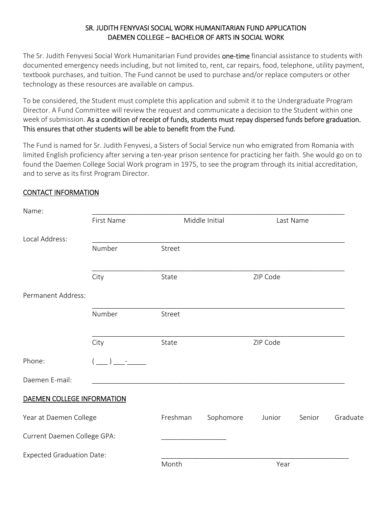## SR. JUDITH FENYVASI SOCIAL WORK HUMANITARIAN FUND APPLICATION DAEMEN COLLEGE – BACHELOR OF ARTS IN SOCIAL WORK

The Sr. Judith Fenyvesi Social Work Humanitarian Fund provides one-time financial assistance to students with documented emergency needs including, but not limited to, rent, car repairs, food, telephone, utility payment, textbook purchases, and tuition. The Fund cannot be used to purchase and/or replace computers or other technology as these resources are available on campus.

To be considered, the Student must complete this application and submit it to the Undergraduate Program Director. A Fund Committee will review the request and communicate a decision to the Student within one week of submission. As a condition of receipt of funds, students must repay dispersed funds before graduation. This ensures that other students will be able to benefit from the Fund.

The Fund is named for Sr. Judith Fenyvesi, a Sisters of Social Service nun who emigrated from Romania with limited English proficiency after serving a ten‐year prison sentence for practicing her faith. She would go on to found the Daemen College Social Work program in 1975, to see the program through its initial accreditation, and to serve as its first Program Director.

## CONTACT INFORMATION

| Name:                            |            |          |                |           |        |          |
|----------------------------------|------------|----------|----------------|-----------|--------|----------|
|                                  | First Name |          | Middle Initial | Last Name |        |          |
| Local Address:                   |            |          |                |           |        |          |
|                                  | Number     | Street   |                |           |        |          |
|                                  | City       | State    |                | ZIP Code  |        |          |
| Permanent Address:               |            |          |                |           |        |          |
|                                  | Number     | Street   |                |           |        |          |
|                                  | City       | State    |                | ZIP Code  |        |          |
| Phone:                           |            |          |                |           |        |          |
| Daemen E-mail:                   |            |          |                |           |        |          |
| DAEMEN COLLEGE INFORMATION       |            |          |                |           |        |          |
| Year at Daemen College           |            | Freshman | Sophomore      | Junior    | Senior | Graduate |
| Current Daemen College GPA:      |            |          |                |           |        |          |
| <b>Expected Graduation Date:</b> |            | Month    |                | Year      |        |          |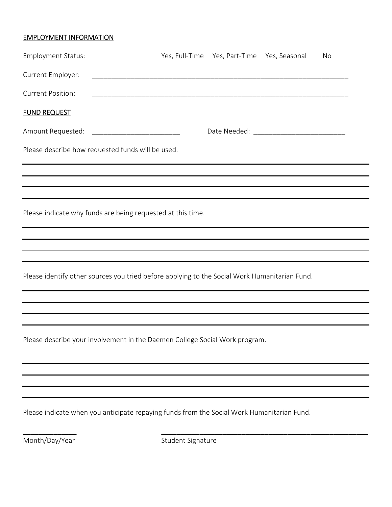## EMPLOYMENT INFORMATION

| <b>Employment Status:</b>                                                                     | Yes, Full-Time Yes, Part-Time Yes, Seasonal | No |  |
|-----------------------------------------------------------------------------------------------|---------------------------------------------|----|--|
| Current Employer:                                                                             |                                             |    |  |
| <b>Current Position:</b>                                                                      |                                             |    |  |
| <b>FUND REQUEST</b>                                                                           |                                             |    |  |
| Amount Requested: ____________________________                                                |                                             |    |  |
| Please describe how requested funds will be used.                                             |                                             |    |  |
|                                                                                               |                                             |    |  |
|                                                                                               |                                             |    |  |
| Please indicate why funds are being requested at this time.                                   |                                             |    |  |
|                                                                                               |                                             |    |  |
| ,我们也不会有什么。""我们的人,我们也不会有什么?""我们的人,我们也不会有什么?""我们的人,我们也不会有什么?""我们的人,我们也不会有什么?""我们的人              |                                             |    |  |
| Please identify other sources you tried before applying to the Social Work Humanitarian Fund. |                                             |    |  |
|                                                                                               |                                             |    |  |
|                                                                                               |                                             |    |  |
| Please describe your involvement in the Daemen College Social Work program.                   |                                             |    |  |
|                                                                                               |                                             |    |  |
|                                                                                               |                                             |    |  |
|                                                                                               |                                             |    |  |
| Please indicate when you anticipate repaying funds from the Social Work Humanitarian Fund.    |                                             |    |  |

Month/Day/Year Student Signature

\_\_\_\_\_\_\_\_\_\_\_\_\_\_ \_\_\_\_\_\_\_\_\_\_\_\_\_\_\_\_\_\_\_\_\_\_\_\_\_\_\_\_\_\_\_\_\_\_\_\_\_\_\_\_\_\_\_\_\_\_\_\_\_\_\_\_\_\_